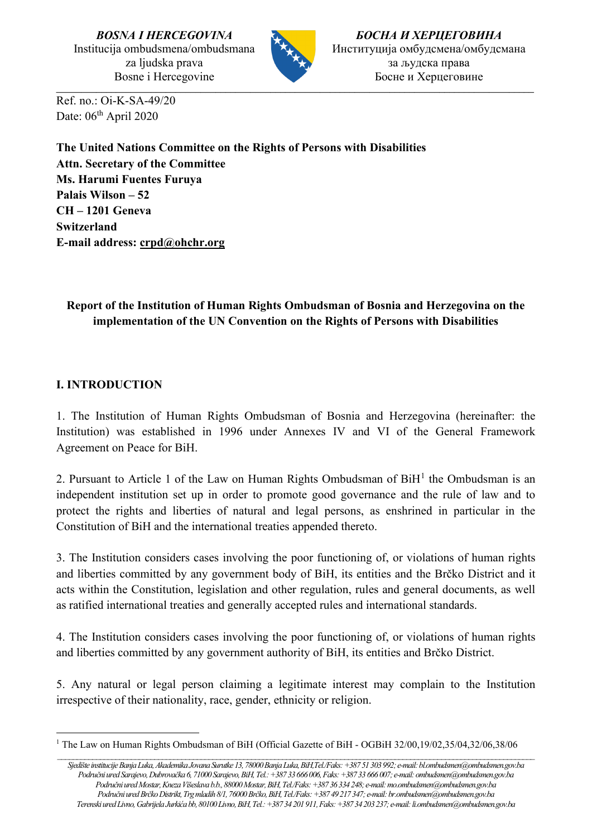*BOSNA I HERCEGOVINA* Institucija ombudsmena/ombudsmana za ljudska prava Bosne i Hercegovine



 $\_$  ,  $\_$  ,  $\_$  ,  $\_$  ,  $\_$  ,  $\_$  ,  $\_$  ,  $\_$  ,  $\_$  ,  $\_$  ,  $\_$  ,  $\_$  ,  $\_$  ,  $\_$  ,  $\_$  ,  $\_$  ,  $\_$  ,  $\_$  ,  $\_$  ,  $\_$  ,  $\_$  ,  $\_$  ,  $\_$  ,  $\_$  ,  $\_$  ,  $\_$  ,  $\_$  ,  $\_$  ,  $\_$  ,  $\_$  ,  $\_$  ,  $\_$  ,  $\_$  ,  $\_$  ,  $\_$  ,  $\_$  ,  $\_$  ,

*БОСНА И ХЕРЦЕГОВИНА* Институција омбудсмена/омбудсмана за људска права Босне и Херцеговине

Ref. no.: Oi-K-SA-49/20 Date: 06<sup>th</sup> April 2020

**The United Nations Committee on the Rights of Persons with Disabilities Attn. Secretary of the Committee Ms. Harumi Fuentes Furuya Palais Wilson – 52 CH – 1201 Geneva Switzerland E-mail address: [crpd@ohchr.org](mailto:crpd@ohchr.org)**

# **Report of the Institution of Human Rights Ombudsman of Bosnia and Herzegovina on the implementation of the UN Convention on the Rights of Persons with Disabilities**

## **I. INTRODUCTION**

1. The Institution of Human Rights Ombudsman of Bosnia and Herzegovina (hereinafter: the Institution) was established in 1996 under Annexes IV and VI of the General Framework Agreement on Peace for BiH.

2. Pursuant to Article [1](#page-0-0) of the Law on Human Rights Ombudsman of  $BiH<sup>1</sup>$  the Ombudsman is an independent institution set up in order to promote good governance and the rule of law and to protect the rights and liberties of natural and legal persons, as enshrined in particular in the Constitution of BiH and the international treaties appended thereto.

3. The Institution considers cases involving the poor functioning of, or violations of human rights and liberties committed by any government body of BiH, its entities and the Brčko District and it acts within the Constitution, legislation and other regulation, rules and general documents, as well as ratified international treaties and generally accepted rules and international standards.

4. The Institution considers cases involving the poor functioning of, or violations of human rights and liberties committed by any government authority of BiH, its entities and Brčko District.

5. Any natural or legal person claiming a legitimate interest may complain to the Institution irrespective of their nationality, race, gender, ethnicity or religion.

*\_\_\_\_\_\_\_\_\_\_\_\_\_\_\_\_\_\_\_\_\_\_\_\_\_\_\_\_\_\_\_\_\_\_\_\_\_\_\_\_\_\_\_\_\_\_\_\_\_\_\_\_\_\_\_\_\_\_\_\_\_\_\_\_\_\_\_\_\_\_\_\_\_\_\_\_\_\_\_\_\_\_\_\_\_\_\_\_\_\_\_\_\_\_\_\_\_\_\_\_\_\_\_\_\_\_\_\_\_\_\_\_\_\_\_\_\_\_\_\_\_\_\_*

<span id="page-0-0"></span><sup>1</sup> The Law on Human Rights Ombudsman of BiH (Official Gazette of BiH - OGBiH 32/00,19/02,35/04,32/06,38/06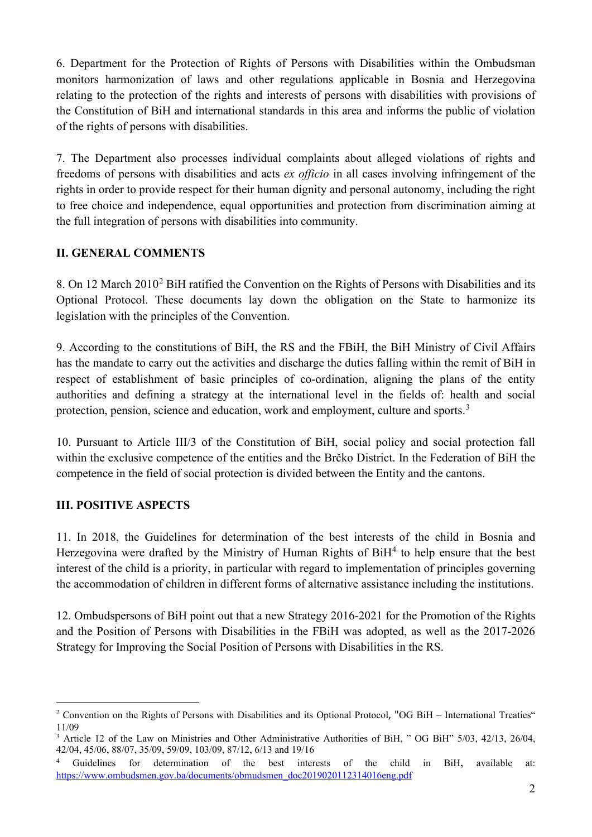6. Department for the Protection of Rights of Persons with Disabilities within the Ombudsman monitors harmonization of laws and other regulations applicable in Bosnia and Herzegovina relating to the protection of the rights and interests of persons with disabilities with provisions of the Constitution of BiH and international standards in this area and informs the public of violation of the rights of persons with disabilities.

7. The Department also processes individual complaints about alleged violations of rights and freedoms of persons with disabilities and acts *ex officio* in all cases involving infringement of the rights in order to provide respect for their human dignity and personal autonomy, including the right to free choice and independence, equal opportunities and protection from discrimination aiming at the full integration of persons with disabilities into community.

## **II. GENERAL COMMENTS**

8. On 1[2](#page-1-0) March 2010<sup>2</sup> BiH ratified the Convention on the Rights of Persons with Disabilities and its Optional Protocol. These documents lay down the obligation on the State to harmonize its legislation with the principles of the Convention.

9. According to the constitutions of BiH, the RS and the FBiH, the BiH Ministry of Civil Affairs has the mandate to carry out the activities and discharge the duties falling within the remit of BiH in respect of establishment of basic principles of co-ordination, aligning the plans of the entity authorities and defining a strategy at the international level in the fields of: health and social protection, pension, science and education, work and employment, culture and sports.<sup>[3](#page-1-1)</sup>

10. Pursuant to Article III/3 of the Constitution of BiH, social policy and social protection fall within the exclusive competence of the entities and the Brčko District. In the Federation of BiH the competence in the field of social protection is divided between the Entity and the cantons.

## **III. POSITIVE ASPECTS**

11. In 2018, the Guidelines for determination of the best interests of the child in Bosnia and Herzegovina were drafted by the Ministry of Human Rights of  $\rm{BiH}^4$  $\rm{BiH}^4$  to help ensure that the best interest of the child is a priority, in particular with regard to implementation of principles governing the accommodation of children in different forms of alternative assistance including the institutions.

12. Ombudspersons of BiH point out that a new Strategy 2016-2021 for the Promotion of the Rights and the Position of Persons with Disabilities in the FBiH was adopted, as well as the 2017-2026 Strategy for Improving the Social Position of Persons with Disabilities in the RS.

<span id="page-1-0"></span><sup>&</sup>lt;sup>2</sup> Convention on the Rights of Persons with Disabilities and its Optional Protocol, "OG BiH – International Treaties" 11/09

<span id="page-1-1"></span><sup>&</sup>lt;sup>3</sup> Article 12 of the Law on Ministries and Other Administrative Authorities of BiH, " OG BiH" 5/03, 42/13, 26/04, 42/04, 45/06, 88/07, 35/09, 59/09, 103/09, 87/12, 6/13 and 19/16

<span id="page-1-2"></span><sup>4</sup> Guidelines for determination of the best interests of the child in BiH, available at: [https://www.ombudsmen.gov.ba/documents/obmudsmen\\_doc2019020112314016eng.pdf](https://www.ombudsmen.gov.ba/documents/obmudsmen_doc2019020112314016eng.pdf)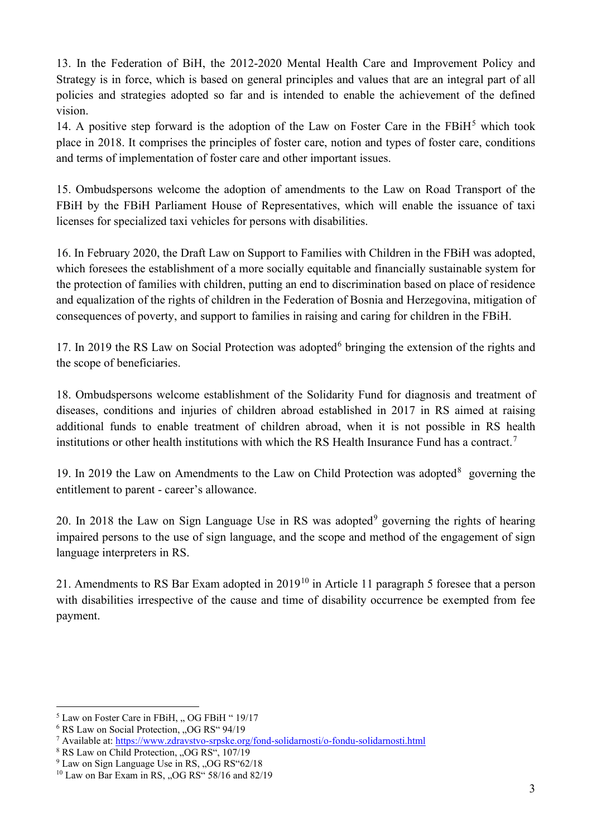13. In the Federation of BiH, the 2012-2020 Mental Health Care and Improvement Policy and Strategy is in force, which is based on general principles and values that are an integral part of all policies and strategies adopted so far and is intended to enable the achievement of the defined vision.

14. A positive step forward is the adoption of the Law on Foster Care in the  $FBiH<sup>5</sup>$  $FBiH<sup>5</sup>$  $FBiH<sup>5</sup>$  which took place in 2018. It comprises the principles of foster care, notion and types of foster care, conditions and terms of implementation of foster care and other important issues.

15. Ombudspersons welcome the adoption of amendments to the Law on Road Transport of the FBiH by the FBiH Parliament House of Representatives, which will enable the issuance of taxi licenses for specialized taxi vehicles for persons with disabilities.

16. In February 2020, the Draft Law on Support to Families with Children in the FBiH was adopted, which foresees the establishment of a more socially equitable and financially sustainable system for the protection of families with children, putting an end to discrimination based on place of residence and equalization of the rights of children in the Federation of Bosnia and Herzegovina, mitigation of consequences of poverty, and support to families in raising and caring for children in the FBiH.

17. In 2019 the RS Law on Social Protection was adopted $6$  bringing the extension of the rights and the scope of beneficiaries.

18. Ombudspersons welcome establishment of the Solidarity Fund for diagnosis and treatment of diseases, conditions and injuries of children abroad established in 2017 in RS aimed at raising additional funds to enable treatment of children abroad, when it is not possible in RS health institutions or other health institutions with which the RS Health Insurance Fund has a contract. [7](#page-2-2)

19. In 2019 the Law on Amendments to the Law on Child Protection was adopted $8$  governing the entitlement to parent - career's allowance.

20. In 2018 the Law on Sign Language Use in RS was adopted $9$  governing the rights of hearing impaired persons to the use of sign language, and the scope and method of the engagement of sign language interpreters in RS.

21. Amendments to RS Bar Exam adopted in 2019[10](#page-2-5) in Article 11 paragraph 5 foresee that a person with disabilities irrespective of the cause and time of disability occurrence be exempted from fee payment.

<span id="page-2-0"></span> $<sup>5</sup>$  Law on Foster Care in FBiH, " OG FBiH " 19/17</sup>

<span id="page-2-1"></span><sup>&</sup>lt;sup>6</sup> RS Law on Social Protection, "OG RS" 94/19

<span id="page-2-2"></span><sup>7</sup> Available at:<https://www.zdravstvo-srpske.org/fond-solidarnosti/o-fondu-solidarnosti.html>

<span id="page-2-3"></span><sup>&</sup>lt;sup>8</sup> RS Law on Child Protection, "OG RS", 107/19

<span id="page-2-4"></span><sup>&</sup>lt;sup>9</sup> Law on Sign Language Use in RS, "OG RS"62/18

<span id="page-2-5"></span> $10$  Law on Bar Exam in RS, "OG RS" 58/16 and 82/19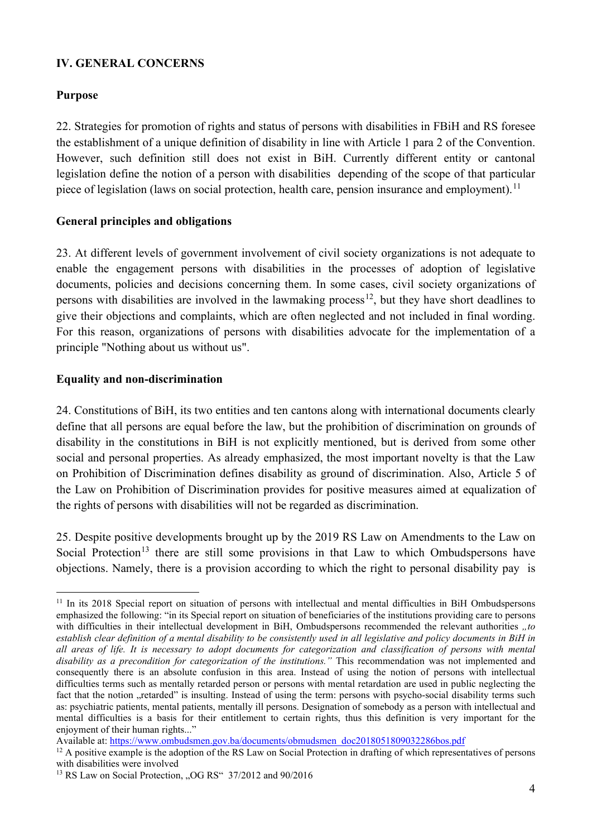#### **IV. GENERAL CONCERNS**

#### **Purpose**

22. Strategies for promotion of rights and status of persons with disabilities in FBiH and RS foresee the establishment of a unique definition of disability in line with Article 1 para 2 of the Convention. However, such definition still does not exist in BiH. Currently different entity or cantonal legislation define the notion of a person with disabilities depending of the scope of that particular piece of legislation (laws on social protection, health care, pension insurance and employment).<sup>[11](#page-3-0)</sup>

#### **General principles and obligations**

23. At different levels of government involvement of civil society organizations is not adequate to enable the engagement persons with disabilities in the processes of adoption of legislative documents, policies and decisions concerning them. In some cases, civil society organizations of persons with disabilities are involved in the lawmaking process<sup>12</sup>, but they have short deadlines to give their objections and complaints, which are often neglected and not included in final wording. For this reason, organizations of persons with disabilities advocate for the implementation of a principle "Nothing about us without us".

#### **Equality and non-discrimination**

24. Constitutions of BiH, its two entities and ten cantons along with international documents clearly define that all persons are equal before the law, but the prohibition of discrimination on grounds of disability in the constitutions in BiH is not explicitly mentioned, but is derived from some other social and personal properties. As already emphasized, the most important novelty is that the Law on Prohibition of Discrimination defines disability as ground of discrimination. Also, Article 5 of the Law on Prohibition of Discrimination provides for positive measures aimed at equalization of the rights of persons with disabilities will not be regarded as discrimination.

25. Despite positive developments brought up by the 2019 RS Law on Amendments to the Law on Social Protection<sup>[13](#page-3-2)</sup> there are still some provisions in that Law to which Ombudspersons have objections. Namely, there is a provision according to which the right to personal disability pay is

<span id="page-3-0"></span><sup>&</sup>lt;sup>11</sup> In its 2018 Special report on situation of persons with intellectual and mental difficulties in BiH Ombudspersons emphasized the following: "in its Special report on situation of beneficiaries of the institutions providing care to persons with difficulties in their intellectual development in BiH, Ombudspersons recommended the relevant authorities *"to establish clear definition of a mental disability to be consistently used in all legislative and policy documents in BiH in all areas of life. It is necessary to adopt documents for categorization and classification of persons with mental disability as a precondition for categorization of the institutions."* This recommendation was not implemented and consequently there is an absolute confusion in this area. Instead of using the notion of persons with intellectual difficulties terms such as mentally retarded person or persons with mental retardation are used in public neglecting the fact that the notion "retarded" is insulting. Instead of using the term: persons with psycho-social disability terms such as: psychiatric patients, mental patients, mentally ill persons. Designation of somebody as a person with intellectual and mental difficulties is a basis for their entitlement to certain rights, thus this definition is very important for the enjoyment of their human rights..."

Available at[: https://www.ombudsmen.gov.ba/documents/obmudsmen\\_doc2018051809032286bos.pdf](https://www.ombudsmen.gov.ba/documents/obmudsmen_doc2018051809032286bos.pdf)

<span id="page-3-1"></span><sup>&</sup>lt;sup>12</sup> A positive example is the adoption of the RS Law on Social Protection in drafting of which representatives of persons with disabilities were involved

<span id="page-3-2"></span><sup>&</sup>lt;sup>13</sup> RS Law on Social Protection, "OG RS" 37/2012 and 90/2016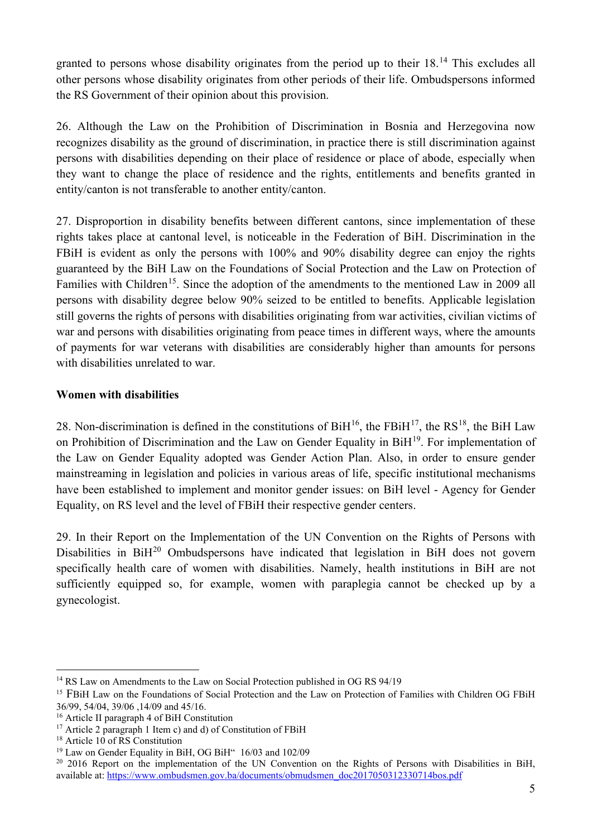granted to persons whose disability originates from the period up to their 18.<sup>[14](#page-4-0)</sup> This excludes all other persons whose disability originates from other periods of their life. Ombudspersons informed the RS Government of their opinion about this provision.

26. Although the Law on the Prohibition of Discrimination in Bosnia and Herzegovina now recognizes disability as the ground of discrimination, in practice there is still discrimination against persons with disabilities depending on their place of residence or place of abode, especially when they want to change the place of residence and the rights, entitlements and benefits granted in entity/canton is not transferable to another entity/canton.

27. Disproportion in disability benefits between different cantons, since implementation of these rights takes place at cantonal level, is noticeable in the Federation of BiH. Discrimination in the FBiH is evident as only the persons with 100% and 90% disability degree can enjoy the rights guaranteed by the BiH Law on the Foundations of Social Protection and the Law on Protection of Families with Children<sup>[15](#page-4-1)</sup>. Since the adoption of the amendments to the mentioned Law in 2009 all persons with disability degree below 90% seized to be entitled to benefits. Applicable legislation still governs the rights of persons with disabilities originating from war activities, civilian victims of war and persons with disabilities originating from peace times in different ways, where the amounts of payments for war veterans with disabilities are considerably higher than amounts for persons with disabilities unrelated to war.

## **Women with disabilities**

28. Non-discrimination is defined in the constitutions of  $\rm{BiH^{16}}$ , the  $\rm{FBiH^{17}}$ , the  $\rm{RS^{18}}$ , the BiH Law on Prohibition of Discrimination and the Law on Gender Equality in BiH<sup>[19](#page-4-5)</sup>. For implementation of the Law on Gender Equality adopted was Gender Action Plan. Also, in order to ensure gender mainstreaming in legislation and policies in various areas of life, specific institutional mechanisms have been established to implement and monitor gender issues: on BiH level - Agency for Gender Equality, on RS level and the level of FBiH their respective gender centers.

29. In their Report on the Implementation of the UN Convention on the Rights of Persons with Disabilities in BiH<sup>[20](#page-4-6)</sup> Ombudspersons have indicated that legislation in BiH does not govern specifically health care of women with disabilities. Namely, health institutions in BiH are not sufficiently equipped so, for example, women with paraplegia cannot be checked up by a gynecologist.

<span id="page-4-0"></span><sup>&</sup>lt;sup>14</sup> RS Law on Amendments to the Law on Social Protection published in OG RS 94/19

<span id="page-4-1"></span><sup>15</sup> FBiH Law on the Foundations of Social Protection and the Law on Protection of Families with Children OG FBiH 36/99, 54/04, 39/06, 14/09 and 45/16.<br><sup>16</sup> Article II paragraph 4 of BiH Constitution

<span id="page-4-2"></span>

<span id="page-4-3"></span><sup>&</sup>lt;sup>17</sup> Article 2 paragraph 1 Item c) and d) of Constitution of FBiH <sup>18</sup> Article 10 of RS Constitution

<span id="page-4-5"></span><span id="page-4-4"></span><sup>&</sup>lt;sup>19</sup> Law on Gender Equality in BiH, OG BiH" 16/03 and 102/09

<span id="page-4-6"></span><sup>&</sup>lt;sup>20</sup> 2016 Report on the implementation of the UN Convention on the Rights of Persons with Disabilities in BiH, available at: [https://www.ombudsmen.gov.ba/documents/obmudsmen\\_doc2017050312330714bos.pdf](https://www.ombudsmen.gov.ba/documents/obmudsmen_doc2017050312330714bos.pdf)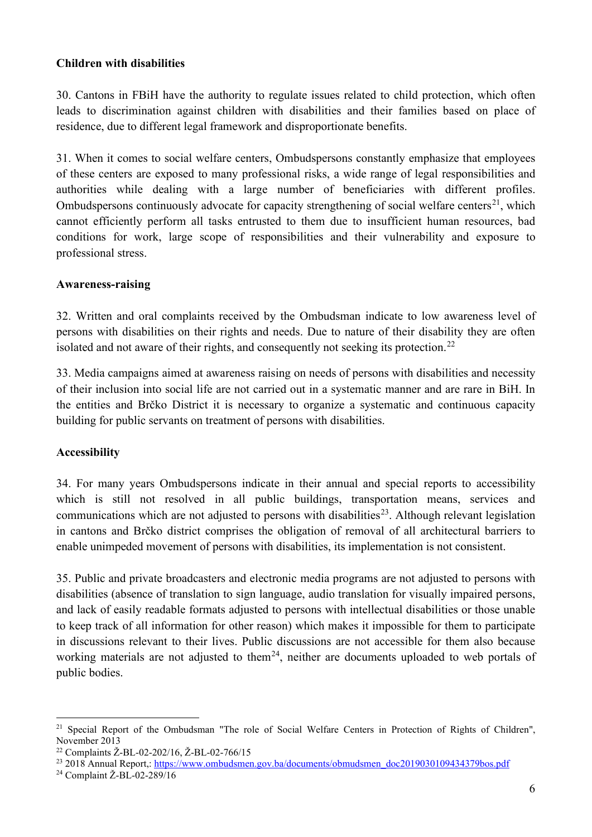#### **Children with disabilities**

30. Cantons in FBiH have the authority to regulate issues related to child protection, which often leads to discrimination against children with disabilities and their families based on place of residence, due to different legal framework and disproportionate benefits.

31. When it comes to social welfare centers, Ombudspersons constantly emphasize that employees of these centers are exposed to many professional risks, a wide range of legal responsibilities and authorities while dealing with a large number of beneficiaries with different profiles. Ombudspersons continuously advocate for capacity strengthening of social welfare centers<sup>[21](#page-5-0)</sup>, which cannot efficiently perform all tasks entrusted to them due to insufficient human resources, bad conditions for work, large scope of responsibilities and their vulnerability and exposure to professional stress.

#### **Awareness-raising**

32. Written and oral complaints received by the Ombudsman indicate to low awareness level of persons with disabilities on their rights and needs. Due to nature of their disability they are often isolated and not aware of their rights, and consequently not seeking its protection.<sup>[22](#page-5-1)</sup>

33. Media campaigns aimed at awareness raising on needs of persons with disabilities and necessity of their inclusion into social life are not carried out in a systematic manner and are rare in BiH. In the entities and Brčko District it is necessary to organize a systematic and continuous capacity building for public servants on treatment of persons with disabilities.

#### **Accessibility**

34. For many years Ombudspersons indicate in their annual and special reports to accessibility which is still not resolved in all public buildings, transportation means, services and communications which are not adjusted to persons with disabilities<sup>[23](#page-5-2)</sup>. Although relevant legislation in cantons and Brčko district comprises the obligation of removal of all architectural barriers to enable unimpeded movement of persons with disabilities, its implementation is not consistent.

35. Public and private broadcasters and electronic media programs are not adjusted to persons with disabilities (absence of translation to sign language, audio translation for visually impaired persons, and lack of easily readable formats adjusted to persons with intellectual disabilities or those unable to keep track of all information for other reason) which makes it impossible for them to participate in discussions relevant to their lives. Public discussions are not accessible for them also because working materials are not adjusted to them<sup>[24](#page-5-3)</sup>, neither are documents uploaded to web portals of public bodies.

<span id="page-5-0"></span><sup>&</sup>lt;sup>21</sup> Special Report of the Ombudsman "The role of Social Welfare Centers in Protection of Rights of Children", November 2013

<span id="page-5-1"></span><sup>22</sup> Complaints Ž-BL-02-202/16, Ž-BL-02-766/15

<span id="page-5-2"></span><sup>&</sup>lt;sup>23</sup> 2018 Annual Report,: [https://www.ombudsmen.gov.ba/documents/obmudsmen\\_doc2019030109434379bos.pdf](https://www.ombudsmen.gov.ba/documents/obmudsmen_doc2019030109434379bos.pdf)

<span id="page-5-3"></span><sup>24</sup> Complaint Ž-BL-02-289/16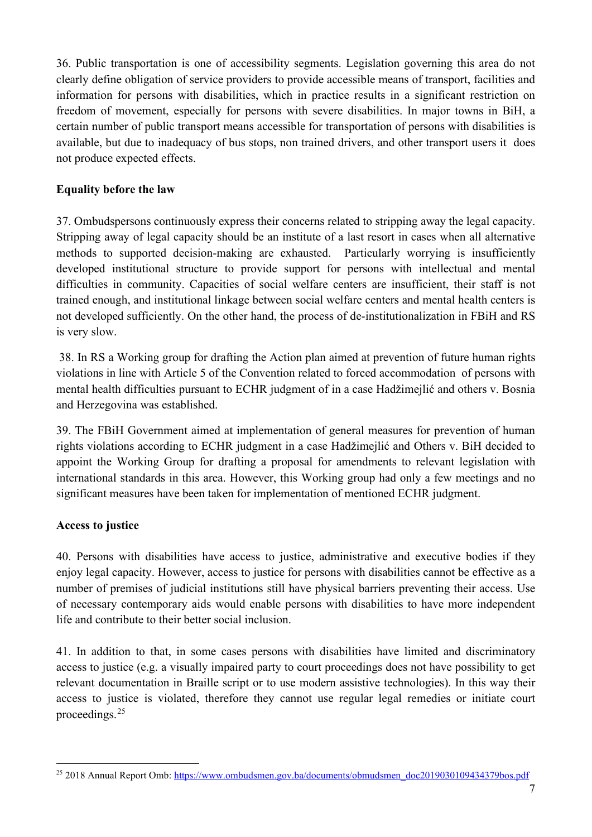36. Public transportation is one of accessibility segments. Legislation governing this area do not clearly define obligation of service providers to provide accessible means of transport, facilities and information for persons with disabilities, which in practice results in a significant restriction on freedom of movement, especially for persons with severe disabilities. In major towns in BiH, a certain number of public transport means accessible for transportation of persons with disabilities is available, but due to inadequacy of bus stops, non trained drivers, and other transport users it does not produce expected effects.

## **Equality before the law**

37. Ombudspersons continuously express their concerns related to stripping away the legal capacity. Stripping away of legal capacity should be an institute of a last resort in cases when all alternative methods to supported decision-making are exhausted. Particularly worrying is insufficiently developed institutional structure to provide support for persons with intellectual and mental difficulties in community. Capacities of social welfare centers are insufficient, their staff is not trained enough, and institutional linkage between social welfare centers and mental health centers is not developed sufficiently. On the other hand, the process of de-institutionalization in FBiH and RS is very slow.

38. In RS a Working group for drafting the Action plan aimed at prevention of future human rights violations in line with Article 5 of the Convention related to forced accommodation of persons with mental health difficulties pursuant to ECHR judgment of in a case Hadžimejlić and others v. Bosnia and Herzegovina was established.

39. The FBiH Government aimed at implementation of general measures for prevention of human rights violations according to ECHR judgment in a case Hadžimejlić and Others v. BiH decided to appoint the Working Group for drafting a proposal for amendments to relevant legislation with international standards in this area. However, this Working group had only a few meetings and no significant measures have been taken for implementation of mentioned ECHR judgment.

## **Access to justice**

40. Persons with disabilities have access to justice, administrative and executive bodies if they enjoy legal capacity. However, access to justice for persons with disabilities cannot be effective as a number of premises of judicial institutions still have physical barriers preventing their access. Use of necessary contemporary aids would enable persons with disabilities to have more independent life and contribute to their better social inclusion.

41. In addition to that, in some cases persons with disabilities have limited and discriminatory access to justice (e.g. a visually impaired party to court proceedings does not have possibility to get relevant documentation in Braille script or to use modern assistive technologies). In this way their access to justice is violated, therefore they cannot use regular legal remedies or initiate court proceedings. [25](#page-6-0)

<span id="page-6-0"></span><sup>&</sup>lt;sup>25</sup> 2018 Annual Report Omb: [https://www.ombudsmen.gov.ba/documents/obmudsmen\\_doc2019030109434379bos.pdf](https://www.ombudsmen.gov.ba/documents/obmudsmen_doc2019030109434379bos.pdf)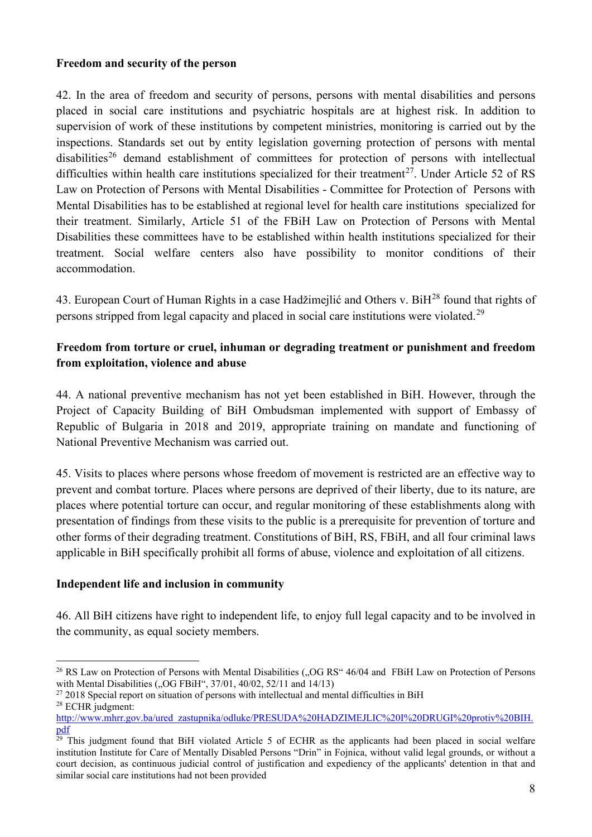#### **Freedom and security of the person**

42. In the area of freedom and security of persons, persons with mental disabilities and persons placed in social care institutions and psychiatric hospitals are at highest risk. In addition to supervision of work of these institutions by competent ministries, monitoring is carried out by the inspections. Standards set out by entity legislation governing protection of persons with mental disabilities<sup>[26](#page-7-0)</sup> demand establishment of committees for protection of persons with intellectual difficulties within health care institutions specialized for their treatment<sup>[27](#page-7-1)</sup>. Under Article 52 of RS Law on Protection of Persons with Mental Disabilities - Committee for Protection of Persons with Mental Disabilities has to be established at regional level for health care institutions specialized for their treatment. Similarly, Article 51 of the FBiH Law on Protection of Persons with Mental Disabilities these committees have to be established within health institutions specialized for their treatment. Social welfare centers also have possibility to monitor conditions of their accommodation.

43. European Court of Human Rights in a case Hadžimejlić and Others v. BiH<sup>[28](#page-7-2)</sup> found that rights of persons stripped from legal capacity and placed in social care institutions were violated.<sup>[29](#page-7-3)</sup>

## **Freedom from torture or cruel, inhuman or degrading treatment or punishment and freedom from exploitation, violence and abuse**

44. A national preventive mechanism has not yet been established in BiH. However, through the Project of Capacity Building of BiH Ombudsman implemented with support of Embassy of Republic of Bulgaria in 2018 and 2019, appropriate training on mandate and functioning of National Preventive Mechanism was carried out.

45. Visits to places where persons whose freedom of movement is restricted are an effective way to prevent and combat torture. Places where persons are deprived of their liberty, due to its nature, are places where potential torture can occur, and regular monitoring of these establishments along with presentation of findings from these visits to the public is a prerequisite for prevention of torture and other forms of their degrading treatment. Constitutions of BiH, RS, FBiH, and all four criminal laws applicable in BiH specifically prohibit all forms of abuse, violence and exploitation of all citizens.

#### **Independent life and inclusion in community**

46. All BiH citizens have right to independent life, to enjoy full legal capacity and to be involved in the community, as equal society members.

<span id="page-7-0"></span><sup>&</sup>lt;sup>26</sup> RS Law on Protection of Persons with Mental Disabilities (. OG RS" 46/04 and FBiH Law on Protection of Persons with Mental Disabilities  $(0.06$  FBiH $\cdot$ ,  $37/01$ ,  $40/02$ ,  $52/11$  and  $14/13$ )

<span id="page-7-2"></span><span id="page-7-1"></span><sup>&</sup>lt;sup>27</sup> 2018 Special report on situation of persons with intellectual and mental difficulties in BiH  $^{28}$  ECHR judgment:

[http://www.mhrr.gov.ba/ured\\_zastupnika/odluke/PRESUDA%20HADZIMEJLIC%20I%20DRUGI%20protiv%20BIH.](http://www.mhrr.gov.ba/ured_zastupnika/odluke/PRESUDA%20HADZIMEJLIC%20I%20DRUGI%20protiv%20BIH.pdf) [pdf](http://www.mhrr.gov.ba/ured_zastupnika/odluke/PRESUDA%20HADZIMEJLIC%20I%20DRUGI%20protiv%20BIH.pdf)

<span id="page-7-3"></span> $29$  This judgment found that BiH violated Article 5 of ECHR as the applicants had been placed in social welfare institution Institute for Care of Mentally Disabled Persons "Drin" in Fojnica, without valid legal grounds, or without a court decision, as continuous judicial control of justification and expediency of the applicants' detention in that and similar social care institutions had not been provided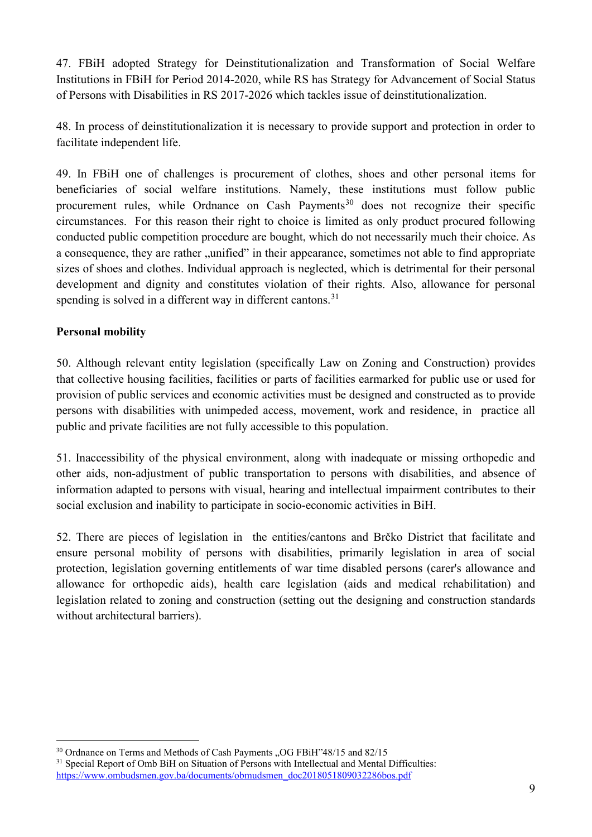47. FBiH adopted Strategy for Deinstitutionalization and Transformation of Social Welfare Institutions in FBiH for Period 2014-2020, while RS has Strategy for Advancement of Social Status of Persons with Disabilities in RS 2017-2026 which tackles issue of deinstitutionalization.

48. In process of deinstitutionalization it is necessary to provide support and protection in order to facilitate independent life.

49. In FBiH one of challenges is procurement of clothes, shoes and other personal items for beneficiaries of social welfare institutions. Namely, these institutions must follow public procurement rules, while Ordnance on Cash Payments<sup>[30](#page-8-0)</sup> does not recognize their specific circumstances. For this reason their right to choice is limited as only product procured following conducted public competition procedure are bought, which do not necessarily much their choice. As a consequence, they are rather "unified" in their appearance, sometimes not able to find appropriate sizes of shoes and clothes. Individual approach is neglected, which is detrimental for their personal development and dignity and constitutes violation of their rights. Also, allowance for personal spending is solved in a different way in different cantons.<sup>[31](#page-8-1)</sup>

## **Personal mobility**

50. Although relevant entity legislation (specifically Law on Zoning and Construction) provides that collective housing facilities, facilities or parts of facilities earmarked for public use or used for provision of public services and economic activities must be designed and constructed as to provide persons with disabilities with unimpeded access, movement, work and residence, in practice all public and private facilities are not fully accessible to this population.

51. Inaccessibility of the physical environment, along with inadequate or missing orthopedic and other aids, non-adjustment of public transportation to persons with disabilities, and absence of information adapted to persons with visual, hearing and intellectual impairment contributes to their social exclusion and inability to participate in socio-economic activities in BiH.

52. There are pieces of legislation in the entities/cantons and Brčko District that facilitate and ensure personal mobility of persons with disabilities, primarily legislation in area of social protection, legislation governing entitlements of war time disabled persons (carer's allowance and allowance for orthopedic aids), health care legislation (aids and medical rehabilitation) and legislation related to zoning and construction (setting out the designing and construction standards without architectural barriers).

<span id="page-8-0"></span> $30$  Ordnance on Terms and Methods of Cash Payments "OG FBiH"48/15 and 82/15

<span id="page-8-1"></span><sup>&</sup>lt;sup>31</sup> Special Report of Omb BiH on Situation of Persons with Intellectual and Mental Difficulties: [https://www.ombudsmen.gov.ba/documents/obmudsmen\\_doc2018051809032286bos.pdf](https://www.ombudsmen.gov.ba/documents/obmudsmen_doc2018051809032286bos.pdf)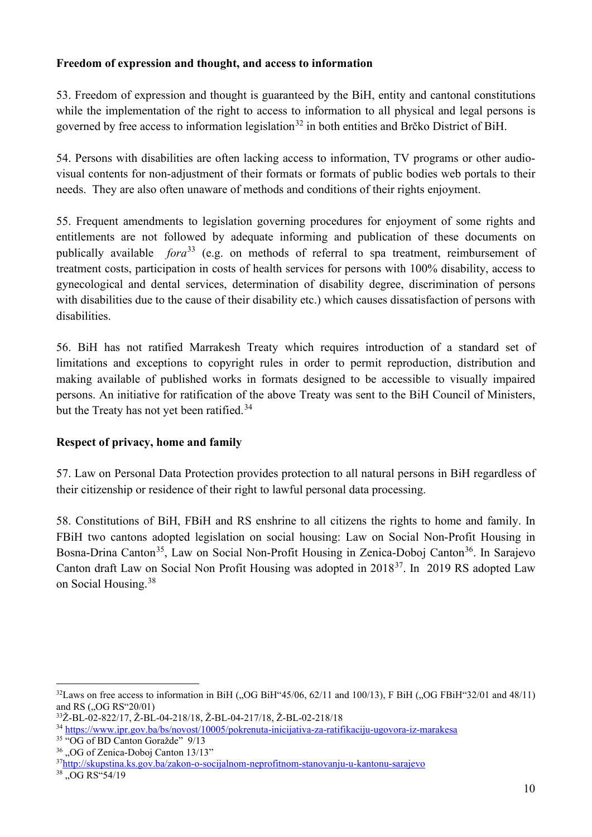### **Freedom of expression and thought, and access to information**

53. Freedom of expression and thought is guaranteed by the BiH, entity and cantonal constitutions while the implementation of the right to access to information to all physical and legal persons is governed by free access to information legislation<sup>[32](#page-9-0)</sup> in both entities and Brčko District of BiH.

54. Persons with disabilities are often lacking access to information, TV programs or other audiovisual contents for non-adjustment of their formats or formats of public bodies web portals to their needs. They are also often unaware of methods and conditions of their rights enjoyment.

55. Frequent amendments to legislation governing procedures for enjoyment of some rights and entitlements are not followed by adequate informing and publication of these documents on publically available *fora*<sup>[33](#page-9-1)</sup> (e.g. on methods of referral to spa treatment, reimbursement of treatment costs, participation in costs of health services for persons with 100% disability, access to gynecological and dental services, determination of disability degree, discrimination of persons with disabilities due to the cause of their disability etc.) which causes dissatisfaction of persons with disabilities.

56. BiH has not ratified Marrakesh Treaty which requires introduction of a standard set of limitations and exceptions to copyright rules in order to permit reproduction, distribution and making available of published works in formats designed to be accessible to visually impaired persons. An initiative for ratification of the above Treaty was sent to the BiH Council of Ministers, but the Treaty has not yet been ratified.<sup>[34](#page-9-2)</sup>

## **Respect of privacy, home and family**

57. Law on Personal Data Protection provides protection to all natural persons in BiH regardless of their citizenship or residence of their right to lawful personal data processing.

58. Constitutions of BiH, FBiH and RS enshrine to all citizens the rights to home and family. In FBiH two cantons adopted legislation on social housing: Law on Social Non-Profit Housing in Bosna-Drina Canton<sup>[35](#page-9-3)</sup>, Law on Social Non-Profit Housing in Zenica-Doboj Canton<sup>[36](#page-9-4)</sup>. In Sarajevo Canton draft Law on Social Non Profit Housing was adopted in 2018[37](#page-9-5). In 2019 RS adopted Law on Social Housing. [38](#page-9-6)

<span id="page-9-0"></span> $32$ Laws on free access to information in BiH ("OG BiH"45/06, 62/11 and 100/13), F BiH ("OG FBiH"32/01 and 48/11) and RS ("OG RS"20/01)

<span id="page-9-1"></span><sup>33</sup>Ž-BL-02-822/17, Ž-BL-04-218/18, Ž-BL-04-217/18, Ž-BL-02-218/18

<span id="page-9-2"></span><sup>34</sup> <https://www.ipr.gov.ba/bs/novost/10005/pokrenuta-inicijativa-za-ratifikaciju-ugovora-iz-marakesa>

<span id="page-9-3"></span><sup>35</sup> "OG of BD Canton Goražde" 9/13

<span id="page-9-4"></span> $36$ , OG of Zenica-Doboj Canton 13/13"

<span id="page-9-5"></span><sup>3</sup>[7http://skupstina.ks.gov.ba/zakon-o-socijalnom-neprofitnom-stanovanju-u-kantonu-sarajevo](http://skupstina.ks.gov.ba/zakon-o-socijalnom-neprofitnom-stanovanju-u-kantonu-sarajevo)

<span id="page-9-6"></span><sup>&</sup>lt;sup>38</sup> "OG RS"54/19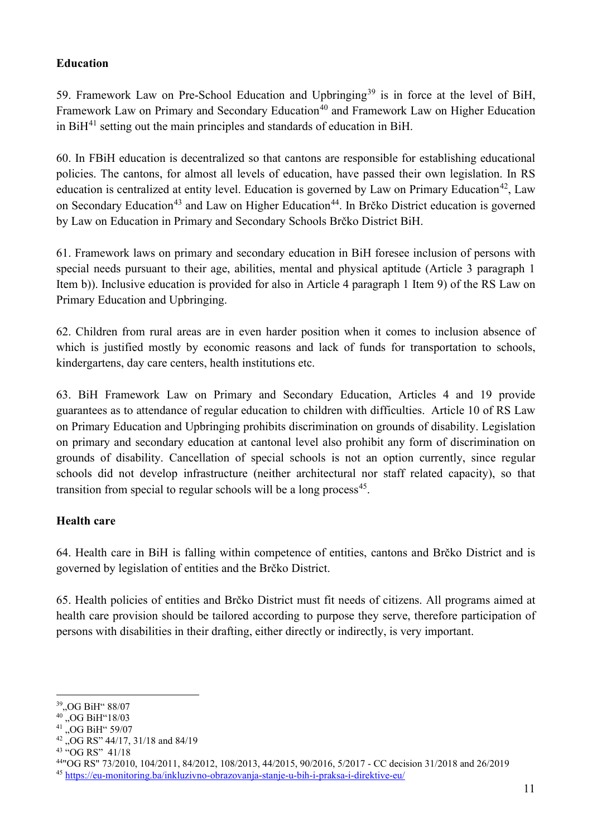### **Education**

59. Framework Law on Pre-School Education and Upbringing<sup>[39](#page-10-0)</sup> is in force at the level of BiH, Framework Law on Primary and Secondary Education<sup>[40](#page-10-1)</sup> and Framework Law on Higher Education in  $BiH<sup>41</sup>$  $BiH<sup>41</sup>$  $BiH<sup>41</sup>$  setting out the main principles and standards of education in BiH.

60. In FBiH education is decentralized so that cantons are responsible for establishing educational policies. The cantons, for almost all levels of education, have passed their own legislation. In RS education is centralized at entity level. Education is governed by Law on Primary Education<sup>[42](#page-10-3)</sup>, Law on Secondary Education<sup>[43](#page-10-4)</sup> and Law on Higher Education<sup>[44](#page-10-5)</sup>. In Brčko District education is governed by Law on Education in Primary and Secondary Schools Brčko District BiH.

61. Framework laws on primary and secondary education in BiH foresee inclusion of persons with special needs pursuant to their age, abilities, mental and physical aptitude (Article 3 paragraph 1 Item b)). Inclusive education is provided for also in Article 4 paragraph 1 Item 9) of the RS Law on Primary Education and Upbringing.

62. Children from rural areas are in even harder position when it comes to inclusion absence of which is justified mostly by economic reasons and lack of funds for transportation to schools, kindergartens, day care centers, health institutions etc.

63. BiH Framework Law on Primary and Secondary Education, Articles 4 and 19 provide guarantees as to attendance of regular education to children with difficulties. Article 10 of RS Law on Primary Education and Upbringing prohibits discrimination on grounds of disability. Legislation on primary and secondary education at cantonal level also prohibit any form of discrimination on grounds of disability. Cancellation of special schools is not an option currently, since regular schools did not develop infrastructure (neither architectural nor staff related capacity), so that transition from special to regular schools will be a long process<sup>[45](#page-10-6)</sup>.

## **Health care**

64. Health care in BiH is falling within competence of entities, cantons and Brčko District and is governed by legislation of entities and the Brčko District.

65. Health policies of entities and Brčko District must fit needs of citizens. All programs aimed at health care provision should be tailored according to purpose they serve, therefore participation of persons with disabilities in their drafting, either directly or indirectly, is very important.

<span id="page-10-0"></span><sup>&</sup>lt;sup>39</sup>, OG BiH" 88/07

<span id="page-10-1"></span><sup>&</sup>lt;sup>40</sup> "OG BiH"18/03

<span id="page-10-2"></span> $^{41}$  "OG BiH" 59/07

<span id="page-10-3"></span><sup>&</sup>lt;sup>42</sup> "OG RS" 44/17, 31/18 and 84/19

<span id="page-10-4"></span><sup>43</sup> "OG RS" 41/18

<span id="page-10-5"></span><sup>44&</sup>quot;OG RS" 73/2010, 104/2011, 84/2012, 108/2013, 44/2015, 90/2016, 5/2017 - CC decision 31/2018 and 26/2019

<span id="page-10-6"></span><sup>45</sup> <https://eu-monitoring.ba/inkluzivno-obrazovanja-stanje-u-bih-i-praksa-i-direktive-eu/>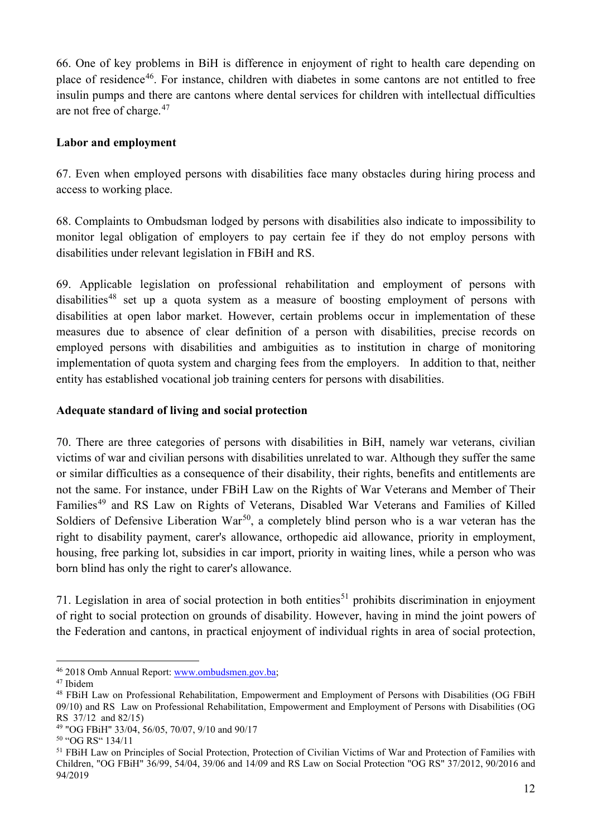66. One of key problems in BiH is difference in enjoyment of right to health care depending on place of residence<sup>46</sup>. For instance, children with diabetes in some cantons are not entitled to free insulin pumps and there are cantons where dental services for children with intellectual difficulties are not free of charge. [47](#page-11-1)

### **Labor and employment**

67. Even when employed persons with disabilities face many obstacles during hiring process and access to working place.

68. Complaints to Ombudsman lodged by persons with disabilities also indicate to impossibility to monitor legal obligation of employers to pay certain fee if they do not employ persons with disabilities under relevant legislation in FBiH and RS.

69. Applicable legislation on professional rehabilitation and employment of persons with disabilities<sup>[48](#page-11-2)</sup> set up a quota system as a measure of boosting employment of persons with disabilities at open labor market. However, certain problems occur in implementation of these measures due to absence of clear definition of a person with disabilities, precise records on employed persons with disabilities and ambiguities as to institution in charge of monitoring implementation of quota system and charging fees from the employers. In addition to that, neither entity has established vocational job training centers for persons with disabilities.

#### **Adequate standard of living and social protection**

70. There are three categories of persons with disabilities in BiH, namely war veterans, civilian victims of war and civilian persons with disabilities unrelated to war. Although they suffer the same or similar difficulties as a consequence of their disability, their rights, benefits and entitlements are not the same. For instance, under FBiH Law on the Rights of War Veterans and Member of Their Families<sup>[49](#page-11-3)</sup> and RS Law on Rights of Veterans, Disabled War Veterans and Families of Killed Soldiers of Defensive Liberation War<sup>[50](#page-11-4)</sup>, a completely blind person who is a war veteran has the right to disability payment, carer's allowance, orthopedic aid allowance, priority in employment, housing, free parking lot, subsidies in car import, priority in waiting lines, while a person who was born blind has only the right to carer's allowance.

71. Legislation in area of social protection in both entities<sup>[51](#page-11-5)</sup> prohibits discrimination in enjoyment of right to social protection on grounds of disability. However, having in mind the joint powers of the Federation and cantons, in practical enjoyment of individual rights in area of social protection,

<span id="page-11-2"></span>

<span id="page-11-1"></span><span id="page-11-0"></span><sup>&</sup>lt;sup>46</sup> 2018 Omb Annual Report: [www.ombudsmen.gov.ba;](http://www.ombudsmen.gov.ba/)<br><sup>47</sup> Ibidem<br><sup>48</sup> FBiH Law on Professional Rehabilitation, Empowerment and Employment of Persons with Disabilities (OG FBiH 09/10) and RS Law on Professional Rehabilitation, Empowerment and Employment of Persons with Disabilities (OG RS 37/12 and 82/15)

<span id="page-11-3"></span><sup>49</sup> "OG FBiH" 33/04, 56/05, 70/07, 9/10 and 90/17

<span id="page-11-4"></span><sup>50</sup> "OG RS" 134/11

<span id="page-11-5"></span><sup>&</sup>lt;sup>51</sup> FBiH Law on Principles of Social Protection, Protection of Civilian Victims of War and Protection of Families with Children, "OG FBiH" 36/99, 54/04, 39/06 and 14/09 and RS Law on Social Protection "OG RS" 37/2012, 90/2016 and 94/2019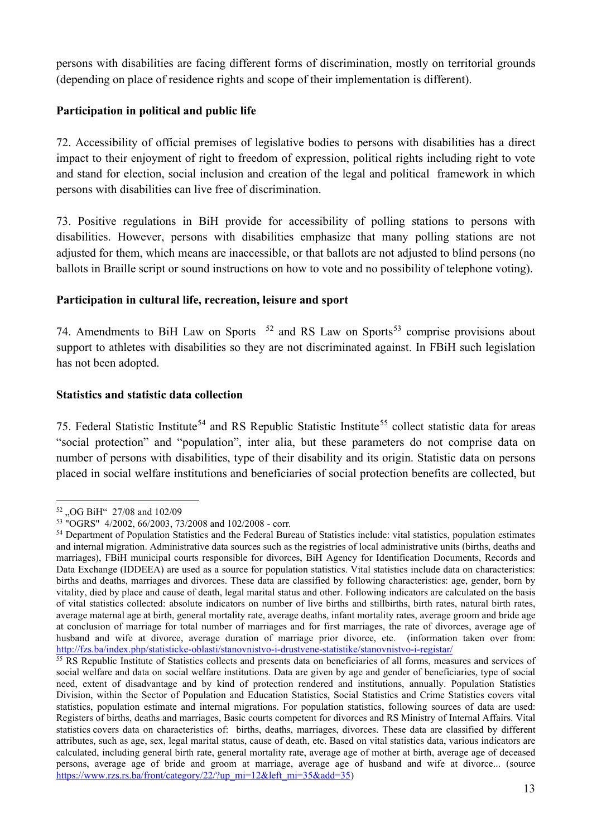persons with disabilities are facing different forms of discrimination, mostly on territorial grounds (depending on place of residence rights and scope of their implementation is different).

## **Participation in political and public life**

72. Accessibility of official premises of legislative bodies to persons with disabilities has a direct impact to their enjoyment of right to freedom of expression, political rights including right to vote and stand for election, social inclusion and creation of the legal and political framework in which persons with disabilities can live free of discrimination.

73. Positive regulations in BiH provide for accessibility of polling stations to persons with disabilities. However, persons with disabilities emphasize that many polling stations are not adjusted for them, which means are inaccessible, or that ballots are not adjusted to blind persons (no ballots in Braille script or sound instructions on how to vote and no possibility of telephone voting).

### **Participation in cultural life, recreation, leisure and sport**

74. Amendments to BiH Law on Sports  $52$  and RS Law on Sports<sup>[53](#page-12-1)</sup> comprise provisions about support to athletes with disabilities so they are not discriminated against. In FBiH such legislation has not been adopted.

### **Statistics and statistic data collection**

75. Federal Statistic Institute<sup>[54](#page-12-2)</sup> and RS Republic Statistic Institute<sup>[55](#page-12-3)</sup> collect statistic data for areas "social protection" and "population", inter alia, but these parameters do not comprise data on number of persons with disabilities, type of their disability and its origin. Statistic data on persons placed in social welfare institutions and beneficiaries of social protection benefits are collected, but

<span id="page-12-0"></span><sup>&</sup>lt;sup>52</sup> "OG BiH" 27/08 and 102/09

<span id="page-12-1"></span><sup>53</sup> "OGRS" 4/2002, 66/2003, 73/2008 and 102/2008 - corr*.*

<span id="page-12-2"></span><sup>54</sup> Department of Population Statistics and the Federal Bureau of Statistics include: vital statistics, population estimates and internal migration. Administrative data sources such as the registries of local administrative units (births, deaths and marriages), FBiH municipal courts responsible for divorces, BiH Agency for Identification Documents, Records and Data Exchange (IDDEEA) are used as a source for population statistics. Vital statistics include data on characteristics: births and deaths, marriages and divorces. These data are classified by following characteristics: age, gender, born by vitality, died by place and cause of death, legal marital status and other. Following indicators are calculated on the basis of vital statistics collected: absolute indicators on number of live births and stillbirths, birth rates, natural birth rates, average maternal age at birth, general mortality rate, average deaths, infant mortality rates, average groom and bride age at conclusion of marriage for total number of marriages and for first marriages, the rate of divorces, average age of husband and wife at divorce, average duration of marriage prior divorce, etc. (information taken over from: <http://fzs.ba/index.php/statisticke-oblasti/stanovnistvo-i-drustvene-statistike/stanovnistvo-i-registar/>

<span id="page-12-3"></span><sup>&</sup>lt;sup>55</sup> RS Republic Institute of Statistics collects and presents data on beneficiaries of all forms, measures and services of social welfare and data on social welfare institutions. Data are given by age and gender of beneficiaries, type of social need, extent of disadvantage and by kind of protection rendered and institutions, annually. Population Statistics Division, within the Sector of Population and Education Statistics, Social Statistics and Crime Statistics covers vital statistics, population estimate and internal migrations. For population statistics, following sources of data are used: Registers of births, deaths and marriages, Basic courts competent for divorces and RS Ministry of Internal Affairs. Vital statistics covers data on characteristics of: births, deaths, marriages, divorces. These data are classified by different attributes, such as age, sex, legal marital status, cause of death, etc. Based on vital statistics data, various indicators are calculated, including general birth rate, general mortality rate, average age of mother at birth, average age of deceased persons, average age of bride and groom at marriage, average age of husband and wife at divorce... (source [https://www.rzs.rs.ba/front/category/22/?up\\_mi=12&left\\_mi=35&add=35\)](https://www.rzs.rs.ba/front/category/22/?up_mi=12&left_mi=35&add=35)